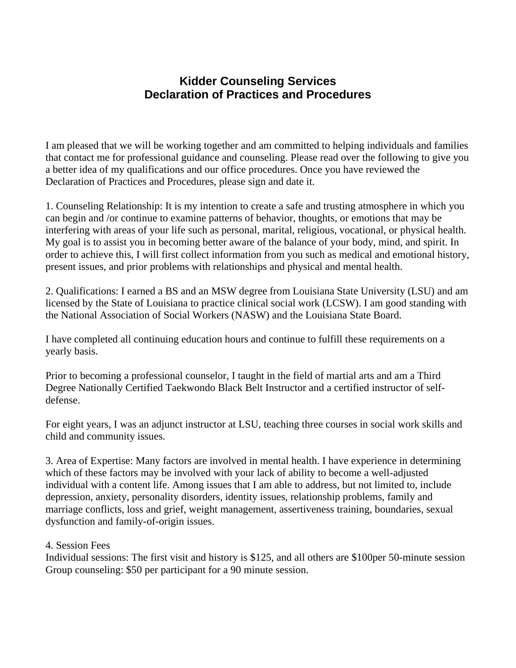## **Kidder Counseling Services Declaration of Practices and Procedures**

I am pleased that we will be working together and am committed to helping individuals and families that contact me for professional guidance and counseling. Please read over the following to give you a better idea of my qualifications and our office procedures. Once you have reviewed the Declaration of Practices and Procedures, please sign and date it.

1. Counseling Relationship: It is my intention to create a safe and trusting atmosphere in which you can begin and /or continue to examine patterns of behavior, thoughts, or emotions that may be interfering with areas of your life such as personal, marital, religious, vocational, or physical health. My goal is to assist you in becoming better aware of the balance of your body, mind, and spirit. In order to achieve this, I will first collect information from you such as medical and emotional history, present issues, and prior problems with relationships and physical and mental health.

2. Qualifications: I earned a BS and an MSW degree from Louisiana State University (LSU) and am licensed by the State of Louisiana to practice clinical social work (LCSW). I am good standing with the National Association of Social Workers (NASW) and the Louisiana State Board.

I have completed all continuing education hours and continue to fulfill these requirements on a yearly basis.

Prior to becoming a professional counselor, I taught in the field of martial arts and am a Third Degree Nationally Certified Taekwondo Black Belt Instructor and a certified instructor of selfdefense.

For eight years, I was an adjunct instructor at LSU, teaching three courses in social work skills and child and community issues.

3. Area of Expertise: Many factors are involved in mental health. I have experience in determining which of these factors may be involved with your lack of ability to become a well-adjusted individual with a content life. Among issues that I am able to address, but not limited to, include depression, anxiety, personality disorders, identity issues, relationship problems, family and marriage conflicts, loss and grief, weight management, assertiveness training, boundaries, sexual dysfunction and family-of-origin issues.

## 4. Session Fees

Individual sessions: The first visit and history is \$125, and all others are \$100per 50-minute session Group counseling: \$50 per participant for a 90 minute session.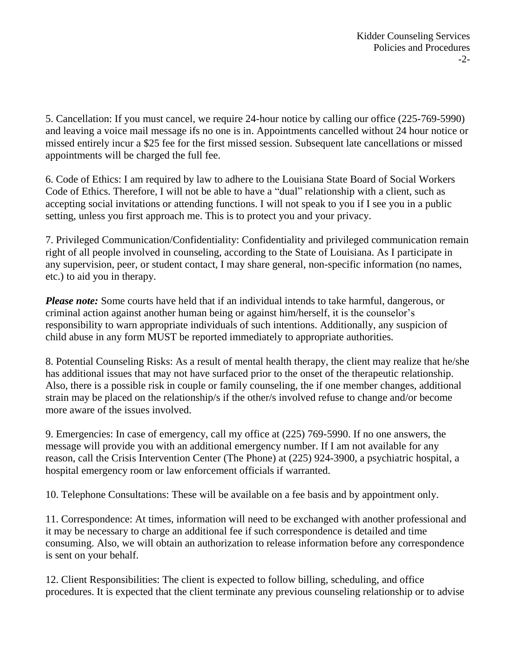5. Cancellation: If you must cancel, we require 24-hour notice by calling our office (225-769-5990) and leaving a voice mail message ifs no one is in. Appointments cancelled without 24 hour notice or missed entirely incur a \$25 fee for the first missed session. Subsequent late cancellations or missed appointments will be charged the full fee.

6. Code of Ethics: I am required by law to adhere to the Louisiana State Board of Social Workers Code of Ethics. Therefore, I will not be able to have a "dual" relationship with a client, such as accepting social invitations or attending functions. I will not speak to you if I see you in a public setting, unless you first approach me. This is to protect you and your privacy.

7. Privileged Communication/Confidentiality: Confidentiality and privileged communication remain right of all people involved in counseling, according to the State of Louisiana. As I participate in any supervision, peer, or student contact, I may share general, non-specific information (no names, etc.) to aid you in therapy.

*Please note:* Some courts have held that if an individual intends to take harmful, dangerous, or criminal action against another human being or against him/herself, it is the counselor's responsibility to warn appropriate individuals of such intentions. Additionally, any suspicion of child abuse in any form MUST be reported immediately to appropriate authorities.

8. Potential Counseling Risks: As a result of mental health therapy, the client may realize that he/she has additional issues that may not have surfaced prior to the onset of the therapeutic relationship. Also, there is a possible risk in couple or family counseling, the if one member changes, additional strain may be placed on the relationship/s if the other/s involved refuse to change and/or become more aware of the issues involved.

9. Emergencies: In case of emergency, call my office at (225) 769-5990. If no one answers, the message will provide you with an additional emergency number. If I am not available for any reason, call the Crisis Intervention Center (The Phone) at (225) 924-3900, a psychiatric hospital, a hospital emergency room or law enforcement officials if warranted.

10. Telephone Consultations: These will be available on a fee basis and by appointment only.

11. Correspondence: At times, information will need to be exchanged with another professional and it may be necessary to charge an additional fee if such correspondence is detailed and time consuming. Also, we will obtain an authorization to release information before any correspondence is sent on your behalf.

12. Client Responsibilities: The client is expected to follow billing, scheduling, and office procedures. It is expected that the client terminate any previous counseling relationship or to advise